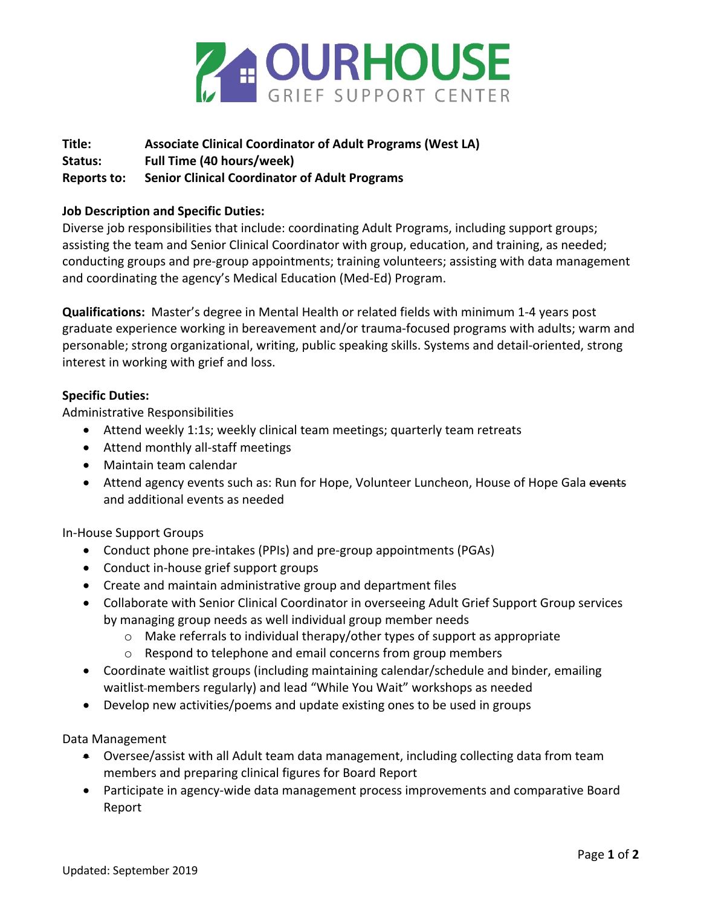

## **Title: Associate Clinical Coordinator of Adult Programs (West LA) Status: Full Time (40 hours/week) Reports to: Senior Clinical Coordinator of Adult Programs**

## **Job Description and Specific Duties:**

Diverse job responsibilities that include: coordinating Adult Programs, including support groups; assisting the team and Senior Clinical Coordinator with group, education, and training, as needed; conducting groups and pre-group appointments; training volunteers; assisting with data management and coordinating the agency's Medical Education (Med-Ed) Program.

**Qualifications:** Master's degree in Mental Health or related fields with minimum 1-4 years post graduate experience working in bereavement and/or trauma-focused programs with adults; warm and personable; strong organizational, writing, public speaking skills. Systems and detail-oriented, strong interest in working with grief and loss.

## **Specific Duties:**

Administrative Responsibilities

- Attend weekly 1:1s; weekly clinical team meetings; quarterly team retreats
- Attend monthly all-staff meetings
- Maintain team calendar
- Attend agency events such as: Run for Hope, Volunteer Luncheon, House of Hope Gala events and additional events as needed

In-House Support Groups

- Conduct phone pre-intakes (PPIs) and pre-group appointments (PGAs)
- Conduct in-house grief support groups
- Create and maintain administrative group and department files
- Collaborate with Senior Clinical Coordinator in overseeing Adult Grief Support Group services by managing group needs as well individual group member needs
	- o Make referrals to individual therapy/other types of support as appropriate
	- o Respond to telephone and email concerns from group members
- Coordinate waitlist groups (including maintaining calendar/schedule and binder, emailing waitlist-members regularly) and lead "While You Wait" workshops as needed
- Develop new activities/poems and update existing ones to be used in groups

Data Management

- Oversee/assist with all Adult team data management, including collecting data from team members and preparing clinical figures for Board Report
- Participate in agency-wide data management process improvements and comparative Board Report